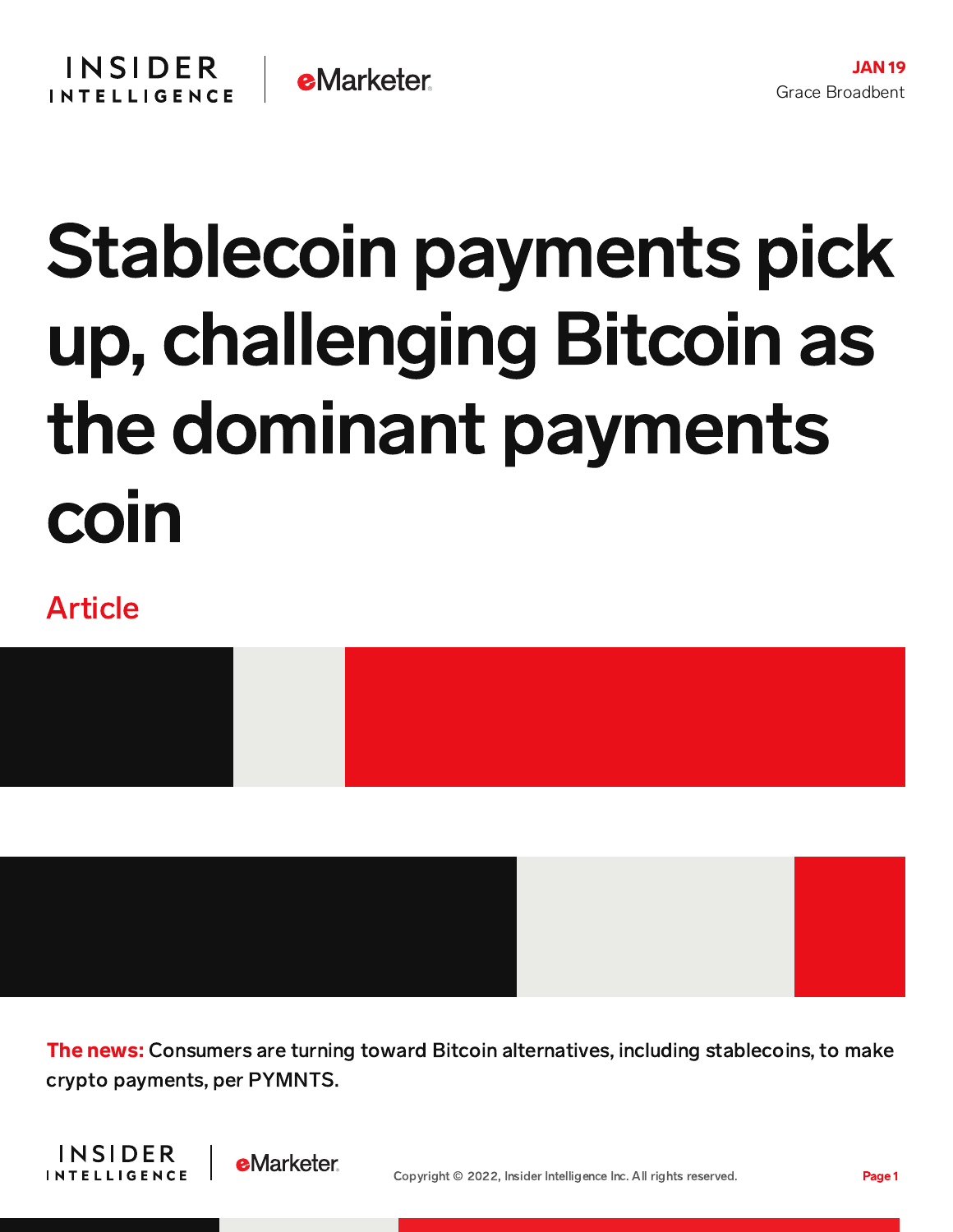# Stablecoin payments pick up, challenging Bitcoin as the dominant payments coin

### Article





The news: Consumers are turning toward Bitcoin alternatives, including stablecoins, to make crypto payments, per PYMNTS.



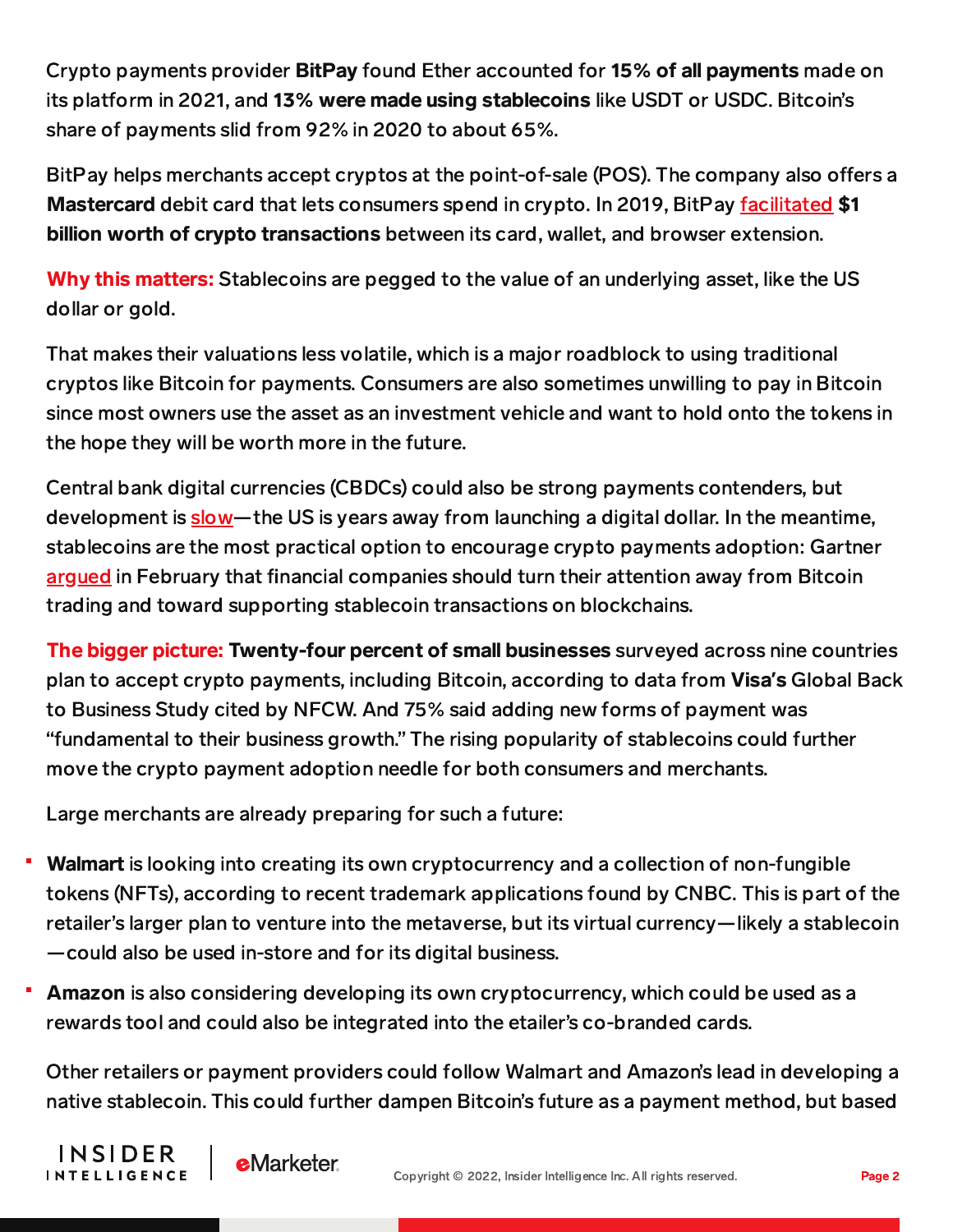Crypto payments provider BitPay found Ether accounted for 15% of all payments made on its platform in 2021, and 13% were made using stablecoins like USDT or USDC. Bitcoin's share of payments slid from 92% in 2020 to about 65%.

BitPay helps merchants accept cryptos at the point-of-sale (POS). The company also offers a Mastercard debit card that lets consumers spend in crypto. In 2019, BitPay [facilitated](https://content-na1.emarketer.com/blockchain-payments) \$1 billion worth of crypto transactions between its card, wallet, and browser extension.

Why this matters: Stablecoins are pegged to the value of an underlying asset, like the US dollar or gold.

That makes their valuations less volatile, which is a major roadblock to using traditional cryptos like Bitcoin for payments. Consumers are also sometimes unwilling to pay in Bitcoin since most owners use the asset as an investment vehicle and want to hold onto the tokens in the hope they will be worth more in the future.

Central bank digital currencies (CBDCs) could also be strong payments contenders, but development is [slow—](https://content-na1.emarketer.com/uk-us-stuck-on-cbdc-hypotheticals-developing-nations-plow-ahead-with-testing)the US is years away from launching a digital dollar. In the meantime, stablecoins are the most practical option to encourage crypto payments adoption: Gartner [argued](https://content-na1.emarketer.com/crypto-payments-gaining-momentum-stablecoins-enter-spotlight) in February that financial companies should turn their attention away from Bitcoin trading and toward supporting stablecoin transactions on blockchains.

The bigger picture: Twenty-four percent of small businesses surveyed across nine countries plan to accept crypto payments, including Bitcoin, according to data from Visa**'**s Global Back to Business Study cited by NFCW. And 75% said adding new forms of payment was "fundamental to their business growth." The rising popularity of stablecoins could further move the crypto payment adoption needle for both consumers and merchants.

Large merchants are already preparing for such a future:

- Walmart is looking into creating its own cryptocurrency and a collection of non-fungible tokens (NFTs), according to recent trademark applications found by CNBC. This is part of the retailer's larger plan to venture into the metaverse, but its virtual currency—likely a stablecoin —could also be used in-store and for its digital business.
- Amazon is also considering developing its own cryptocurrency, which could be used as a rewards tool and could also be integrated into the etailer's co-branded cards.

Other retailers or payment providers could follow Walmart and Amazon's lead in developing a native stablecoin. This could further dampen Bitcoin's future as a payment method, but based